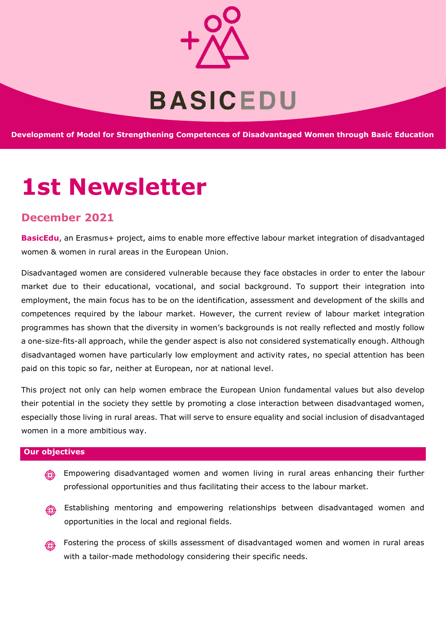

**Development of Model for Strengthening Competences of Disadvantaged Women through Basic Education**

# **1st Newsletter**

# **December 2021**

**BasicEdu**, an Erasmus+ project, aims to enable more effective labour market integration of disadvantaged women & women in rural areas in the European Union.

Disadvantaged women are considered vulnerable because they face obstacles in order to enter the labour market due to their educational, vocational, and social background. To support their integration into employment, the main focus has to be on the identification, assessment and development of the skills and competences required by the labour market. However, the current review of labour market integration programmes has shown that the diversity in women's backgrounds is not really reflected and mostly follow a one-size-fits-all approach, while the gender aspect is also not considered systematically enough. Although disadvantaged women have particularly low employment and activity rates, no special attention has been paid on this topic so far, neither at European, nor at national level.

This project not only can help women embrace the European Union fundamental values but also develop their potential in the society they settle by promoting a close interaction between disadvantaged women, especially those living in rural areas. That will serve to ensure equality and social inclusion of disadvantaged women in a more ambitious way.

## **Our objectives**

- ⊕ Empowering disadvantaged women and women living in rural areas enhancing their further professional opportunities and thus facilitating their access to the labour market.
- Establishing mentoring and empowering relationships between disadvantaged women and ⊕ opportunities in the local and regional fields.
- Fostering the process of skills assessment of disadvantaged women and women in rural areas ⊕ with a tailor-made methodology considering their specific needs.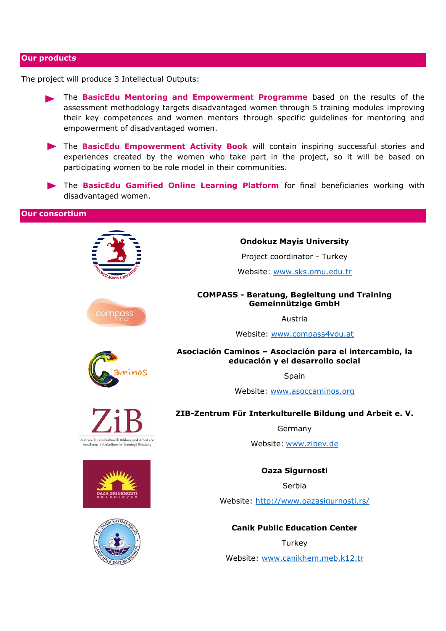#### **Our products**

The project will produce 3 Intellectual Outputs: